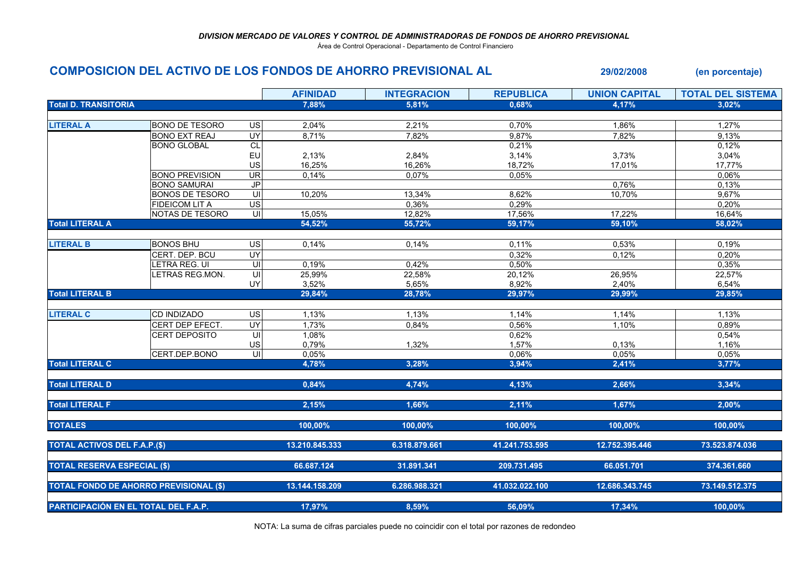Área de Control Operacional - Departamento de Control Financiero

## COMPOSICION DEL ACTIVO DE LOS FONDOS DE AHORRO PREVISIONAL AL 29/02/2008 (en porcentaje)

|                                               |                        |                          | <b>AFINIDAD</b> | <b>INTEGRACION</b> | <b>REPUBLICA</b> | <b>UNION CAPITAL</b> | <b>TOTAL DEL SISTEMA</b> |
|-----------------------------------------------|------------------------|--------------------------|-----------------|--------------------|------------------|----------------------|--------------------------|
| <b>Total D. TRANSITORIA</b>                   |                        |                          | 7,88%           | 5,81%              | 0,68%            | 4,17%                | 3,02%                    |
|                                               |                        |                          |                 |                    |                  |                      |                          |
| <b>LITERAL A</b>                              | <b>BONO DE TESORO</b>  | $\overline{u}$           | 2,04%           | 2,21%              | 0,70%            | 1,86%                | 1,27%                    |
|                                               | <b>BONO EXT REAJ</b>   | <b>UY</b>                | 8,71%           | 7,82%              | 9,87%            | 7,82%                | 9,13%                    |
|                                               | <b>BONO GLOBAL</b>     | CL                       |                 |                    | 0,21%            |                      | 0,12%                    |
|                                               |                        | EU                       | 2,13%           | 2,84%              | 3,14%            | 3,73%                | 3,04%                    |
|                                               |                        | US                       | 16,25%          | 16,26%             | 18,72%           | 17,01%               | 17,77%                   |
|                                               | <b>BONO PREVISION</b>  | $\overline{\mathsf{UR}}$ | 0,14%           | 0,07%              | 0,05%            |                      | 0,06%                    |
|                                               | <b>BONO SAMURAI</b>    | $\overline{JP}$          |                 |                    |                  | 0,76%                | 0,13%                    |
|                                               | <b>BONOS DE TESORO</b> | UI                       | 10,20%          | 13,34%             | 8,62%            | 10,70%               | 9,67%                    |
|                                               | <b>FIDEICOM LIT A</b>  | $\overline{US}$          |                 | 0,36%              | 0,29%            |                      | 0,20%                    |
|                                               | NOTAS DE TESORO        | UI                       | 15,05%          | 12,82%             | 17,56%           | 17,22%               | 16,64%                   |
| <b>Total LITERAL A</b>                        |                        |                          | 54,52%          | 55,72%             | 59,17%           | 59,10%               | 58,02%                   |
|                                               |                        |                          |                 |                    |                  |                      |                          |
| <b>LITERAL B</b>                              | <b>BONOS BHU</b>       | <b>US</b>                | 0,14%           | 0,14%              | 0,11%            | 0,53%                | 0,19%                    |
|                                               | CERT. DEP. BCU         | UY                       |                 |                    | 0,32%            | 0,12%                | 0,20%                    |
|                                               | LETRA REG. UI          | $\subseteq$              | 0,19%           | 0,42%              | 0,50%            |                      | 0,35%                    |
|                                               | LETRAS REG.MON.        | $\overline{U}$           | 25,99%          | 22,58%             | 20,12%           | 26,95%               | 22,57%                   |
|                                               |                        | UY                       | 3,52%           | 5,65%              | 8,92%            | 2,40%                | 6,54%                    |
| <b>Total LITERAL B</b>                        |                        |                          | 29,84%          | 28,78%             | 29,97%           | 29,99%               | 29,85%                   |
|                                               |                        |                          |                 |                    |                  |                      |                          |
| <b>LITERAL C</b>                              | <b>CD INDIZADO</b>     | <b>US</b>                | 1,13%           | 1,13%              | 1,14%            | 1,14%                | 1,13%                    |
|                                               | CERT DEP EFECT.        | <b>UY</b>                | 1,73%           | 0,84%              | 0,56%            | 1,10%                | 0,89%                    |
|                                               | CERT DEPOSITO          | UI                       | 1,08%           |                    | 0,62%            |                      | 0,54%                    |
|                                               |                        | US                       | 0,79%           | 1,32%              | 1,57%            | 0,13%                | 1,16%                    |
|                                               | CERT.DEP.BONO          | $\equiv$                 | 0,05%           |                    | 0,06%            | 0.05%                | 0,05%                    |
| <b>Total LITERAL C</b>                        |                        |                          | 4,78%           | 3,28%              | 3,94%            | 2,41%                | 3,77%                    |
|                                               |                        |                          |                 |                    |                  |                      |                          |
| <b>Total LITERAL D</b>                        |                        |                          | 0,84%           | 4,74%              | 4,13%            | 2,66%                | 3,34%                    |
| <b>Total LITERAL F</b>                        |                        |                          | 2,15%           | 1,66%              | 2,11%            | 1,67%                | 2,00%                    |
| <b>TOTALES</b>                                |                        |                          | 100.00%         | 100.00%            | 100.00%          | 100,00%              | 100.00%                  |
|                                               |                        |                          |                 |                    |                  |                      |                          |
| <b>TOTAL ACTIVOS DEL F.A.P.(\$)</b>           |                        |                          | 13.210.845.333  | 6.318.879.661      | 41.241.753.595   | 12.752.395.446       | 73.523.874.036           |
|                                               |                        |                          |                 |                    |                  |                      |                          |
| <b>TOTAL RESERVA ESPECIAL (\$)</b>            |                        |                          | 66.687.124      | 31.891.341         | 209.731.495      | 66.051.701           | 374.361.660              |
| <b>TOTAL FONDO DE AHORRO PREVISIONAL (\$)</b> |                        |                          | 13.144.158.209  | 6.286.988.321      | 41.032.022.100   | 12.686.343.745       | 73.149.512.375           |
|                                               |                        |                          |                 |                    |                  |                      |                          |
| PARTICIPACIÓN EN EL TOTAL DEL F.A.P.          |                        |                          | 17,97%          | 8,59%              | 56,09%           | 17,34%               | 100,00%                  |

NOTA: La suma de cifras parciales puede no coincidir con el total por razones de redondeo